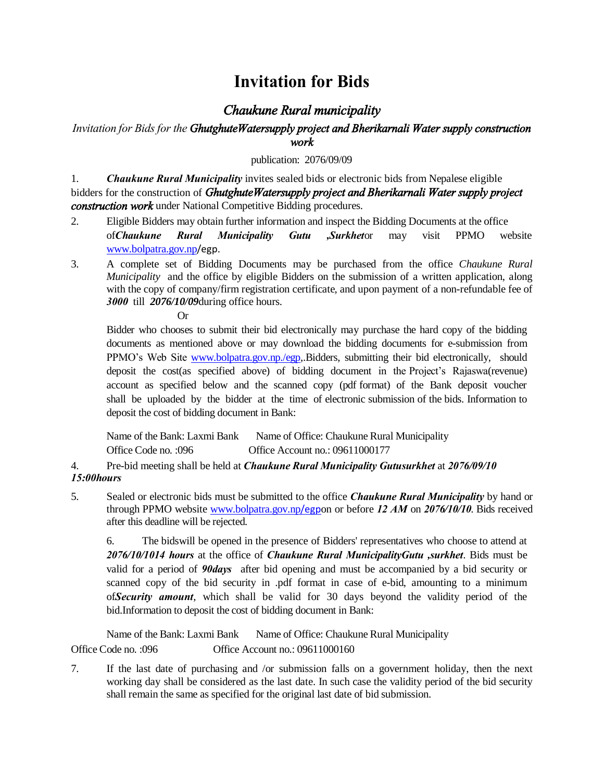## **Invitation for Bids**

## *Chaukune Rural municipality*

## *Invitation for Bids for the GhutghuteWatersupply project and Bherikarnali Water supply construction work*

publication: 2076/09/09

1. *Chaukune Rural Municipality* invites sealed bids or electronic bids from Nepalese eligible bidders for the construction of *GhutghuteWatersupply project and Bherikarnali Water supply project construction work* under National Competitive Bidding procedures.

- 2. Eligible Bidders may obtain further information and inspect the Bidding Documents at the office of*Chaukune Rural Municipality Gutu ,Surkhet*or may visit PPMO website [www.bolpatra.gov.np](http://www.bolpatra.gov.np/)/egp.
- 3. A complete set of Bidding Documents may be purchased from the office *Chaukune Rural Municipality* and the office by eligible Bidders on the submission of a written application, along with the copy of company/firm registration certificate, and upon payment of a non-refundable fee of *3000* till *2076/10/09*during office hours.

Or

Bidder who chooses to submit their bid electronically may purchase the hard copy of the bidding documents as mentioned above or may download the bidding documents for e-submission from PPMO's Web Site [www.bolpatra.gov.np./egp,](http://www.bolpatra.gov.np./egp).Bidders, submitting their bid electronically, should deposit the cost(as specified above) of bidding document in the Project's Rajaswa(revenue) account as specified below and the scanned copy (pdf format) of the Bank deposit voucher shall be uploaded by the bidder at the time of electronic submission of the bids. Information to deposit the cost of bidding document in Bank:

| Name of the Bank: Laxmi Bank | Name of Office: Chaukune Rural Municipality |
|------------------------------|---------------------------------------------|
| Office Code no. :096         | Office Account no.: 09611000177             |

4. Pre-bid meeting shall be held at *Chaukune Rural Municipality Gutusurkhet* at *2076/09/10 15:00hours*

5. Sealed or electronic bids must be submitted to the office *Chaukune Rural Municipality* by hand or through PPMO website [www.bolpatra.gov.np](http://www.bolpatra.gov.np/egp)/egpon or before *12 AM* on *2076/10/10*. Bids received after this deadline will be rejected.

6. The bidswill be opened in the presence of Bidders' representatives who choose to attend at *2076/10/1014 hours* at the office of *Chaukune Rural MunicipalityGutu ,surkhet*. Bids must be valid for a period of *90days* after bid opening and must be accompanied by a bid security or scanned copy of the bid security in .pdf format in case of e-bid, amounting to a minimum of*Security amount*, which shall be valid for 30 days beyond the validity period of the bid.Information to deposit the cost of bidding document in Bank:

Name of the Bank: Laxmi Bank Name of Office: Chaukune Rural Municipality Office Code no. :096 Office Account no.: 09611000160

7. If the last date of purchasing and /or submission falls on a government holiday, then the next working day shall be considered as the last date. In such case the validity period of the bid security shall remain the same as specified for the original last date of bid submission.